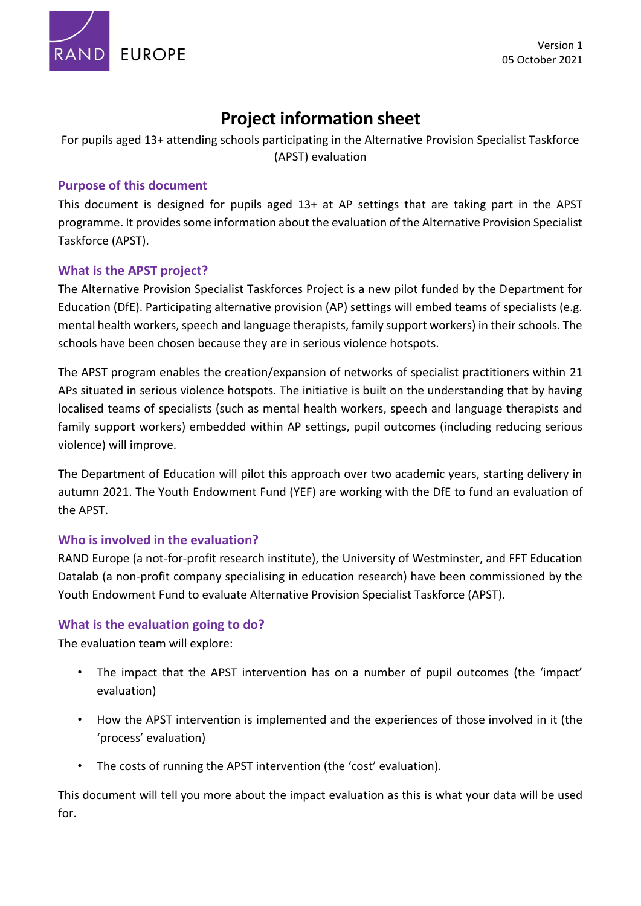

# **Project information sheet**

For pupils aged 13+ attending schools participating in the Alternative Provision Specialist Taskforce (APST) evaluation

# **Purpose of this document**

This document is designed for pupils aged 13+ at AP settings that are taking part in the APST programme. It provides some information about the evaluation of the Alternative Provision Specialist Taskforce (APST).

# **What is the APST project?**

The Alternative Provision Specialist Taskforces Project is a new pilot funded by the Department for Education (DfE). Participating alternative provision (AP) settings will embed teams of specialists (e.g. mental health workers, speech and language therapists, family support workers) in their schools. The schools have been chosen because they are in serious violence hotspots.

The APST program enables the creation/expansion of networks of specialist practitioners within 21 APs situated in serious violence hotspots. The initiative is built on the understanding that by having localised teams of specialists (such as mental health workers, speech and language therapists and family support workers) embedded within AP settings, pupil outcomes (including reducing serious violence) will improve.

The Department of Education will pilot this approach over two academic years, starting delivery in autumn 2021. The Youth Endowment Fund (YEF) are working with the DfE to fund an evaluation of the APST.

## **Who is involved in the evaluation?**

RAND Europe (a not-for-profit research institute), the University of Westminster, and FFT Education Datalab (a non-profit company specialising in education research) have been commissioned by the Youth Endowment Fund to evaluate Alternative Provision Specialist Taskforce (APST).

## **What is the evaluation going to do?**

The evaluation team will explore:

- The impact that the APST intervention has on a number of pupil outcomes (the 'impact' evaluation)
- How the APST intervention is implemented and the experiences of those involved in it (the 'process' evaluation)
- The costs of running the APST intervention (the 'cost' evaluation).

This document will tell you more about the impact evaluation as this is what your data will be used for.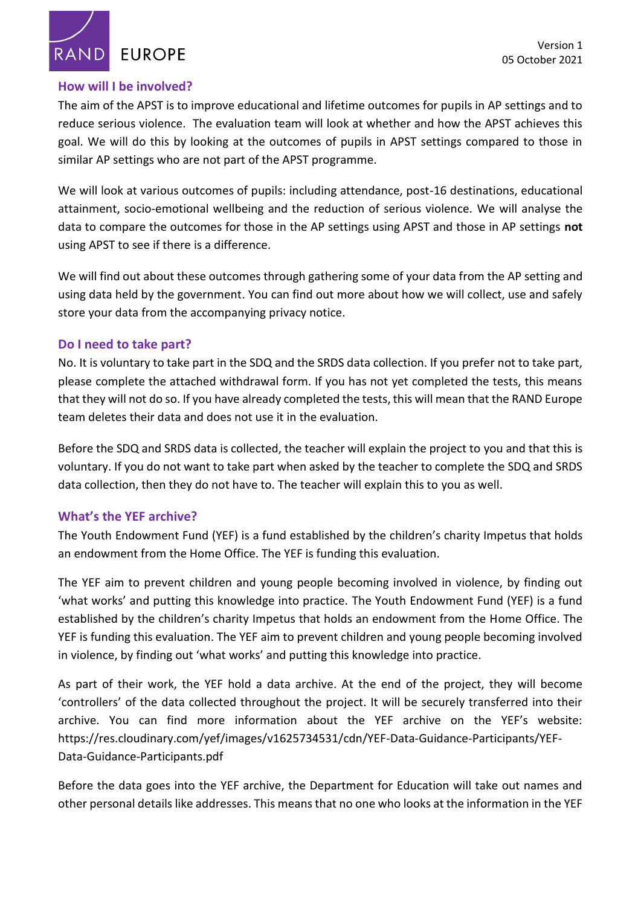RAND **EUROPE** 

#### **How will I be involved?**

The aim of the APST is to improve educational and lifetime outcomes for pupils in AP settings and to reduce serious violence. The evaluation team will look at whether and how the APST achieves this goal. We will do this by looking at the outcomes of pupils in APST settings compared to those in similar AP settings who are not part of the APST programme.

We will look at various outcomes of pupils: including attendance, post-16 destinations, educational attainment, socio-emotional wellbeing and the reduction of serious violence. We will analyse the data to compare the outcomes for those in the AP settings using APST and those in AP settings **not**  using APST to see if there is a difference.

We will find out about these outcomes through gathering some of your data from the AP setting and using data held by the government. You can find out more about how we will collect, use and safely store your data from the accompanying privacy notice.

#### **Do I need to take part?**

No. It is voluntary to take part in the SDQ and the SRDS data collection. If you prefer not to take part, please complete the attached withdrawal form. If you has not yet completed the tests, this means that they will not do so. If you have already completed the tests, this will mean that the RAND Europe team deletes their data and does not use it in the evaluation.

Before the SDQ and SRDS data is collected, the teacher will explain the project to you and that this is voluntary. If you do not want to take part when asked by the teacher to complete the SDQ and SRDS data collection, then they do not have to. The teacher will explain this to you as well.

## **What's the YEF archive?**

The Youth Endowment Fund (YEF) is a fund established by the children's charity Impetus that holds an endowment from the Home Office. The YEF is funding this evaluation.

The YEF aim to prevent children and young people becoming involved in violence, by finding out 'what works' and putting this knowledge into practice. The Youth Endowment Fund (YEF) is a fund established by the children's charity Impetus that holds an endowment from the Home Office. The YEF is funding this evaluation. The YEF aim to prevent children and young people becoming involved in violence, by finding out 'what works' and putting this knowledge into practice.

As part of their work, the YEF hold a data archive. At the end of the project, they will become 'controllers' of the data collected throughout the project. It will be securely transferred into their archive. You can find more information about the YEF archive on the YEF's website: [https://res.cloudinary.com/yef/images/v1625734531/cdn/YEF-Data-Guidance-Participants/YEF-](https://protect2.fireeye.com/v1/url?k=a4d9ac11-fb4294c3-a4d98246-866132fe445e-c1619437db9ae37f&q=1&e=d539bd66-a80b-40cd-ad67-68d08172bb78&u=https%3A%2F%2Fres.cloudinary.com%2Fyef%2Fimages%2Fv1625734531%2Fcdn%2FYEF-Data-Guidance-Participants%2FYEF-Data-Guidance-Participants.pdf)[Data-Guidance-Participants.pdf](https://protect2.fireeye.com/v1/url?k=a4d9ac11-fb4294c3-a4d98246-866132fe445e-c1619437db9ae37f&q=1&e=d539bd66-a80b-40cd-ad67-68d08172bb78&u=https%3A%2F%2Fres.cloudinary.com%2Fyef%2Fimages%2Fv1625734531%2Fcdn%2FYEF-Data-Guidance-Participants%2FYEF-Data-Guidance-Participants.pdf)

Before the data goes into the YEF archive, the Department for Education will take out names and other personal details like addresses. This means that no one who looks at the information in the YEF